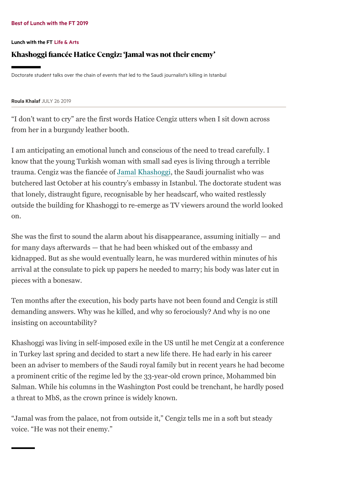#### Best of [Lunch](https://www.ft.com/content/3a6f892a-2190-11ea-92da-f0c92e957a96) with the FT 2019

#### [Lunch](https://www.ft.com/life-arts/lunch-with-the-ft) with the FT Life & [Arts](https://www.ft.com/life-arts)

## Khashoggi fiancée Hatice Cengiz: 'Jamal was not their enemy'

Doctorate student talks over the chain of events that led to the Saudi journalist's killing in Istanbul

#### Roula [Khalaf](https://www.ft.com/roula-khalaf) JULY 26 2019

"I don't want to cry" are the first words Hatice Cengiz utters when I sit down across from her in a burgundy leather booth.

I am anticipating an emotional lunch and conscious of the need to tread carefully. I know that the young Turkish woman with small sad eyes is living through a terrible trauma. Cengiz was the fiancée of [Jamal Khashoggi,](https://www.ft.com/stream/1d4b7061-0714-4e9d-871d-56e6a0a0d571) the Saudi journalist who was butchered last October at his country's embassy in Istanbul. The doctorate student was that lonely, distraught figure, recognisable by her headscarf, who waited restlessly outside the building for Khashoggi to re-emerge as TV viewers around the world looked on.

She was the first to sound the alarm about his disappearance, assuming initially  $-$  and for many days afterwards — that he had been whisked out of the embassy and kidnapped. But as she would eventually learn, he was murdered within minutes of his arrival at the consulate to pick up papers he needed to marry; his body was later cut in pieces with a bonesaw.

Ten months after the execution, his body parts have not been found and Cengiz is still demanding answers. Why was he killed, and why so ferociously? And why is no one insisting on accountability?

Khashoggi was living in self-imposed exile in the US until he met Cengiz at a conference in Turkey last spring and decided to start a new life there. He had early in his career been an adviser to members of the Saudi royal family but in recent years he had become a prominent critic of the regime led by the 33-year-old crown prince, Mohammed bin Salman. While his columns in the Washington Post could be trenchant, he hardly posed a threat to MbS, as the crown prince is widely known.

"Jamal was from the palace, not from outside it," Cengiz tells me in a soft but steady voice. "He was not their enemy."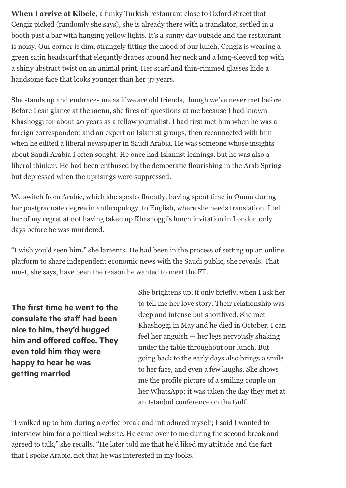**When I arrive at Kibele**, a funky Turkish restaurant close to Oxford Street that Cengiz picked (randomly she says), she is already there with a translator, settled in a booth past a bar with hanging yellow lights. It's a sunny day outside and the restaurant is noisy. Our corner is dim, strangely fitting the mood of our lunch. Cengiz is wearing a green satin headscarf that elegantly drapes around her neck and a long-sleeved top with a shiny abstract twist on an animal print. Her scarf and thin-rimmed glasses hide a handsome face that looks younger than her 37 years.

She stands up and embraces me as if we are old friends, though we've never met before. Before I can glance at the menu, she fires off questions at me because I had known Khashoggi for about 20 years as a fellow journalist. I had first met him when he was a foreign correspondent and an expert on Islamist groups, then reconnected with him when he edited a liberal newspaper in Saudi Arabia. He was someone whose insights about Saudi Arabia I often sought. He once had Islamist leanings, but he was also a liberal thinker. He had been enthused by the democratic flourishing in the Arab Spring but depressed when the uprisings were suppressed.

We switch from Arabic, which she speaks fluently, having spent time in Oman during her postgraduate degree in anthropology, to English, where she needs translation. I tell her of my regret at not having taken up Khashoggi's lunch invitation in London only days before he was murdered.

"I wish you'd seen him," she laments. He had been in the process of setting up an online platform to share independent economic news with the Saudi public, she reveals. That must, she says, have been the reason he wanted to meet the FT.

The first time he went to the consulate the staff had been nice to him, they'd hugged him and offered coffee. They even told him they were happy to hear he was getting married

She brightens up, if only briefly, when I ask her to tell me her love story. Their relationship was deep and intense but shortlived. She met Khashoggi in May and he died in October. I can feel her anguish — her legs nervously shaking under the table throughout our lunch. But going back to the early days also brings a smile to her face, and even a few laughs. She shows me the profile picture of a smiling couple on her WhatsApp; it was taken the day they met at an Istanbul conference on the Gulf.

"I walked up to him during a coffee break and introduced myself; I said I wanted to interview him for a political website. He came over to me during the second break and agreed to talk," she recalls. "He later told me that he'd liked my attitude and the fact that I spoke Arabic, not that he was interested in my looks."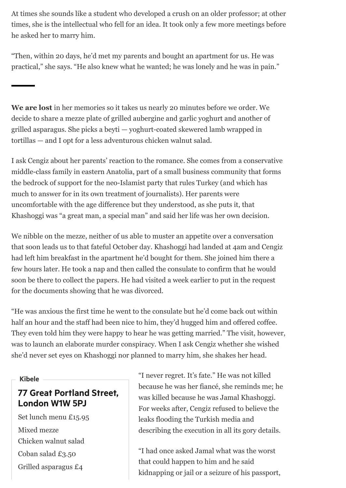At times she sounds like a student who developed a crush on an older professor; at other times, she is the intellectual who fell for an idea. It took only a few more meetings before he asked her to marry him.

"Then, within 20 days, he'd met my parents and bought an apartment for us. He was practical," she says. "He also knew what he wanted; he was lonely and he was in pain."

**We are lost** in her memories so it takes us nearly 20 minutes before we order. We decide to share a mezze plate of grilled aubergine and garlic yoghurt and another of grilled asparagus. She picks a beyti — yoghurt-coated skewered lamb wrapped in tortillas — and I opt for a less adventurous chicken walnut salad.

I ask Cengiz about her parents' reaction to the romance. She comes from a conservative middle-class family in eastern Anatolia, part of a small business community that forms the bedrock of support for the neo-Islamist party that rules Turkey (and which has much to answer for in its own treatment of journalists). Her parents were uncomfortable with the age difference but they understood, as she puts it, that Khashoggi was "a great man, a special man" and said her life was her own decision.

We nibble on the mezze, neither of us able to muster an appetite over a conversation that soon leads us to that fateful October day. Khashoggi had landed at 4am and Cengiz had left him breakfast in the apartment he'd bought for them. She joined him there a few hours later. He took a nap and then called the consulate to confirm that he would soon be there to collect the papers. He had visited a week earlier to put in the request for the documents showing that he was divorced.

"He was anxious the first time he went to the consulate but he'd come back out within half an hour and the staff had been nice to him, they'd hugged him and offered coffee. They even told him they were happy to hear he was getting married." The visit, however, was to launch an elaborate murder conspiracy. When I ask Cengiz whether she wished she'd never set eyes on Khashoggi nor planned to marry him, she shakes her head.

### Kibele

# 77 Great Portland Street, London W1W 5PJ

Set lunch menu £15.95 Mixed mezze Chicken walnut salad Coban salad £3.50 Grilled asparagus £4

"I never regret. It's fate." He was not killed because he was her fiancé, she reminds me; he was killed because he was Jamal Khashoggi. For weeks after, Cengiz refused to believe the leaks flooding the Turkish media and describing the execution in all its gory details.

"I had once asked Jamal what was the worst that could happen to him and he said kidnapping or jail or a seizure of his passport,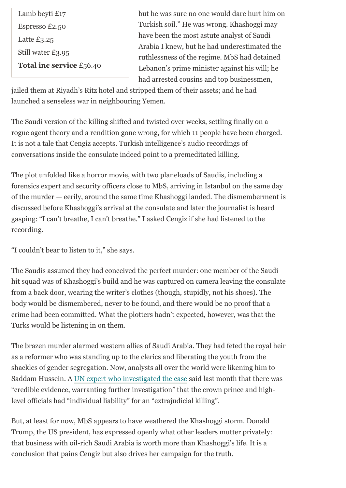Lamb beyti £17 Espresso £2.50 Latte £3.25 Still water £3.95 **Total inc service** £56.40 but he was sure no one would dare hurt him on Turkish soil." He was wrong. Khashoggi may have been the most astute analyst of Saudi Arabia I knew, but he had underestimated the ruthlessness of the regime. MbS had detained Lebanon's prime minister against his will; he had arrested cousins and top businessmen,

jailed them at Riyadh's Ritz hotel and stripped them of their assets; and he had launched a senseless war in neighbouring Yemen.

The Saudi version of the killing shifted and twisted over weeks, settling finally on a rogue agent theory and a rendition gone wrong, for which 11 people have been charged. It is not a tale that Cengiz accepts. Turkish intelligence's audio recordings of conversations inside the consulate indeed point to a premeditated killing.

The plot unfolded like a horror movie, with two planeloads of Saudis, including a forensics expert and security officers close to MbS, arriving in Istanbul on the same day of the murder — eerily, around the same time Khashoggi landed. The dismemberment is discussed before Khashoggi's arrival at the consulate and later the journalist is heard gasping: "I can't breathe, I can't breathe." I asked Cengiz if she had listened to the recording.

"I couldn't bear to listen to it," she says.

The Saudis assumed they had conceived the perfect murder: one member of the Saudi hit squad was of Khashoggi's build and he was captured on camera leaving the consulate from a back door, wearing the writer's clothes (though, stupidly, not his shoes). The body would be dismembered, never to be found, and there would be no proof that a crime had been committed. What the plotters hadn't expected, however, was that the Turks would be listening in on them.

The brazen murder alarmed western allies of Saudi Arabia. They had feted the royal heir as a reformer who was standing up to the clerics and liberating the youth from the shackles of gender segregation. Now, analysts all over the world were likening him to Saddam Hussein. A [UN expert who investigated the case](https://www.ft.com/content/2bd9528f-1e8e-4eef-a791-ac462bd584b4) said last month that there was "credible evidence, warranting further investigation" that the crown prince and highlevel officials had "individual liability" for an "extrajudicial killing".

But, at least for now, MbS appears to have weathered the Khashoggi storm. Donald Trump, the US president, has expressed openly what other leaders mutter privately: that business with oil-rich Saudi Arabia is worth more than Khashoggi's life. It is a conclusion that pains Cengiz but also drives her campaign for the truth.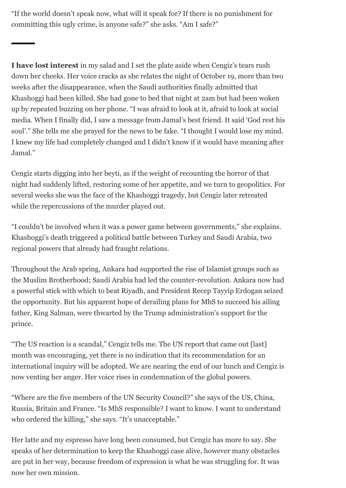"If the world doesn't speak now, what will it speak for? If there is no punishment for committing this ugly crime, is anyone safe?" she asks. "Am I safe?"

**I have lost interest** in my salad and I set the plate aside when Cengiz's tears rush down her cheeks. Her voice cracks as she relates the night of October 19, more than two weeks after the disappearance, when the Saudi authorities finally admitted that Khashoggi had been killed. She had gone to bed that night at 2am but had been woken up by repeated buzzing on her phone. "I was afraid to look at it, afraid to look at social media. When I finally did, I saw a message from Jamal's best friend. It said 'God rest his soul'." She tells me she prayed for the news to be fake. "I thought I would lose my mind. I knew my life had completely changed and I didn't know if it would have meaning after Jamal."

Cengiz starts digging into her beyti, as if the weight of recounting the horror of that night had suddenly lifted, restoring some of her appetite, and we turn to geopolitics. For several weeks she was the face of the Khashoggi tragedy, but Cengiz later retreated while the repercussions of the murder played out.

"I couldn't be involved when it was a power game between governments," she explains. Khashoggi's death triggered a political battle between Turkey and Saudi Arabia, two regional powers that already had fraught relations.

Throughout the Arab spring, Ankara had supported the rise of Islamist groups such as the Muslim Brotherhood; Saudi Arabia had led the counter-revolution. Ankara now had a powerful stick with which to beat Riyadh, and President Recep Tayyip Erdogan seized the opportunity. But his apparent hope of derailing plans for MbS to succeed his ailing father, King Salman, were thwarted by the Trump administration's support for the prince.

"The US reaction is a scandal," Cengiz tells me. The UN report that came out [last] month was encouraging, yet there is no indication that its recommendation for an international inquiry will be adopted. We are nearing the end of our lunch and Cengiz is now venting her anger. Her voice rises in condemnation of the global powers.

"Where are the five members of the UN Security Council?" she says of the US, China, Russia, Britain and France. "Is MbS responsible? I want to know. I want to understand who ordered the killing," she says. "It's unacceptable."

Her latte and my espresso have long been consumed, but Cengiz has more to say. She speaks of her determination to keep the Khashoggi case alive, however many obstacles are put in her way, because freedom of expression is what he was struggling for. It was now her own mission.